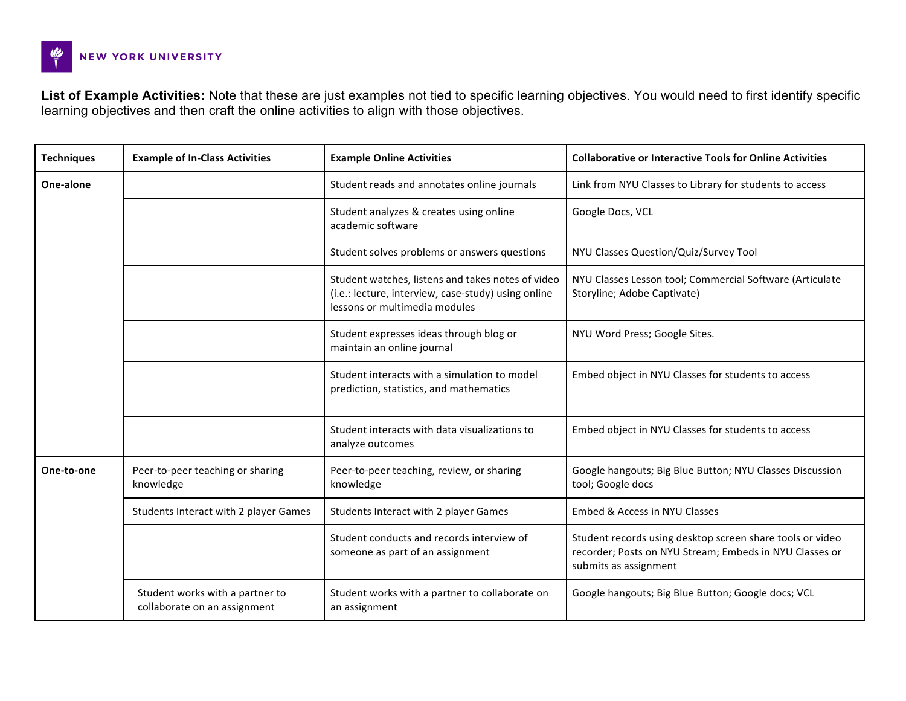

**List of Example Activities:** Note that these are just examples not tied to specific learning objectives. You would need to first identify specific learning objectives and then craft the online activities to align with those objectives.

| <b>Techniques</b> | <b>Example of In-Class Activities</b>                           | <b>Example Online Activities</b>                                                                                                          | <b>Collaborative or Interactive Tools for Online Activities</b>                                                                               |
|-------------------|-----------------------------------------------------------------|-------------------------------------------------------------------------------------------------------------------------------------------|-----------------------------------------------------------------------------------------------------------------------------------------------|
| One-alone         |                                                                 | Student reads and annotates online journals                                                                                               | Link from NYU Classes to Library for students to access                                                                                       |
|                   |                                                                 | Student analyzes & creates using online<br>academic software                                                                              | Google Docs, VCL                                                                                                                              |
|                   |                                                                 | Student solves problems or answers questions                                                                                              | NYU Classes Question/Quiz/Survey Tool                                                                                                         |
|                   |                                                                 | Student watches, listens and takes notes of video<br>(i.e.: lecture, interview, case-study) using online<br>lessons or multimedia modules | NYU Classes Lesson tool; Commercial Software (Articulate<br>Storyline; Adobe Captivate)                                                       |
|                   |                                                                 | Student expresses ideas through blog or<br>maintain an online journal                                                                     | NYU Word Press; Google Sites.                                                                                                                 |
|                   |                                                                 | Student interacts with a simulation to model<br>prediction, statistics, and mathematics                                                   | Embed object in NYU Classes for students to access                                                                                            |
|                   |                                                                 | Student interacts with data visualizations to<br>analyze outcomes                                                                         | Embed object in NYU Classes for students to access                                                                                            |
| One-to-one        | Peer-to-peer teaching or sharing<br>knowledge                   | Peer-to-peer teaching, review, or sharing<br>knowledge                                                                                    | Google hangouts; Big Blue Button; NYU Classes Discussion<br>tool; Google docs                                                                 |
|                   | Students Interact with 2 player Games                           | Students Interact with 2 player Games                                                                                                     | Embed & Access in NYU Classes                                                                                                                 |
|                   |                                                                 | Student conducts and records interview of<br>someone as part of an assignment                                                             | Student records using desktop screen share tools or video<br>recorder; Posts on NYU Stream; Embeds in NYU Classes or<br>submits as assignment |
|                   | Student works with a partner to<br>collaborate on an assignment | Student works with a partner to collaborate on<br>an assignment                                                                           | Google hangouts; Big Blue Button; Google docs; VCL                                                                                            |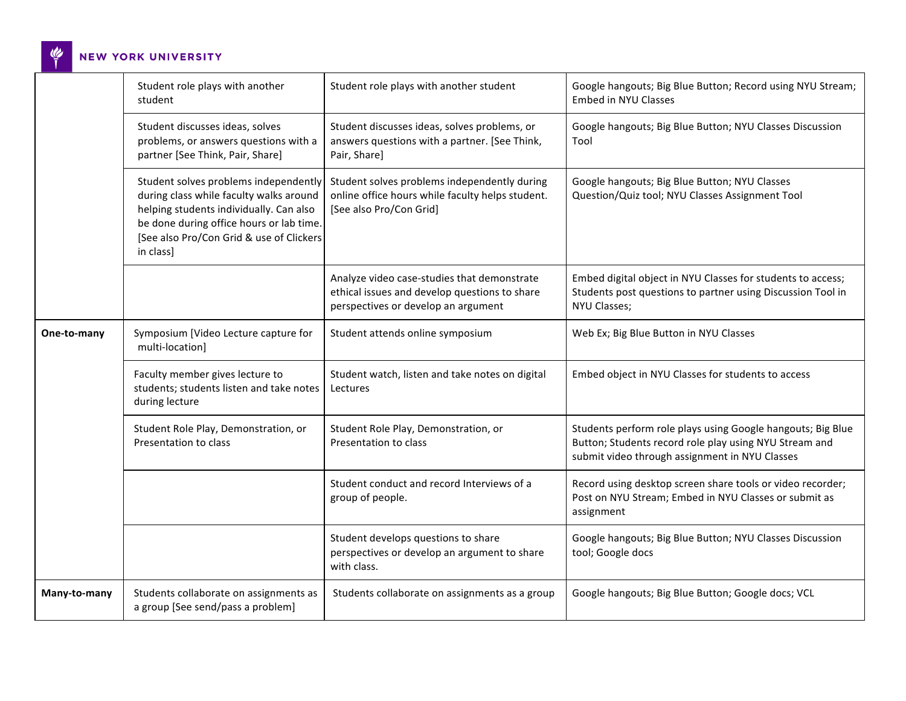$\frac{d\phi}{1}$ NEW YORK UNIVERSITY

|              | Student role plays with another<br>student                                                                                                                                                                                       | Student role plays with another student                                                                                             | Google hangouts; Big Blue Button; Record using NYU Stream;<br>Embed in NYU Classes                                                                                      |
|--------------|----------------------------------------------------------------------------------------------------------------------------------------------------------------------------------------------------------------------------------|-------------------------------------------------------------------------------------------------------------------------------------|-------------------------------------------------------------------------------------------------------------------------------------------------------------------------|
|              | Student discusses ideas, solves<br>problems, or answers questions with a<br>partner [See Think, Pair, Share]                                                                                                                     | Student discusses ideas, solves problems, or<br>answers questions with a partner. [See Think,<br>Pair, Share]                       | Google hangouts; Big Blue Button; NYU Classes Discussion<br>Tool                                                                                                        |
|              | Student solves problems independently<br>during class while faculty walks around<br>helping students individually. Can also<br>be done during office hours or lab time.<br>[See also Pro/Con Grid & use of Clickers<br>in class] | Student solves problems independently during<br>online office hours while faculty helps student.<br>[See also Pro/Con Grid]         | Google hangouts; Big Blue Button; NYU Classes<br>Question/Quiz tool; NYU Classes Assignment Tool                                                                        |
|              |                                                                                                                                                                                                                                  | Analyze video case-studies that demonstrate<br>ethical issues and develop questions to share<br>perspectives or develop an argument | Embed digital object in NYU Classes for students to access;<br>Students post questions to partner using Discussion Tool in<br>NYU Classes;                              |
| One-to-many  | Symposium [Video Lecture capture for<br>multi-location]                                                                                                                                                                          | Student attends online symposium                                                                                                    | Web Ex; Big Blue Button in NYU Classes                                                                                                                                  |
|              | Faculty member gives lecture to<br>students; students listen and take notes<br>during lecture                                                                                                                                    | Student watch, listen and take notes on digital<br>Lectures                                                                         | Embed object in NYU Classes for students to access                                                                                                                      |
|              | Student Role Play, Demonstration, or<br>Presentation to class                                                                                                                                                                    | Student Role Play, Demonstration, or<br>Presentation to class                                                                       | Students perform role plays using Google hangouts; Big Blue<br>Button; Students record role play using NYU Stream and<br>submit video through assignment in NYU Classes |
|              |                                                                                                                                                                                                                                  | Student conduct and record Interviews of a<br>group of people.                                                                      | Record using desktop screen share tools or video recorder;<br>Post on NYU Stream; Embed in NYU Classes or submit as<br>assignment                                       |
|              |                                                                                                                                                                                                                                  | Student develops questions to share<br>perspectives or develop an argument to share<br>with class.                                  | Google hangouts; Big Blue Button; NYU Classes Discussion<br>tool; Google docs                                                                                           |
| Many-to-many | Students collaborate on assignments as<br>a group [See send/pass a problem]                                                                                                                                                      | Students collaborate on assignments as a group                                                                                      | Google hangouts; Big Blue Button; Google docs; VCL                                                                                                                      |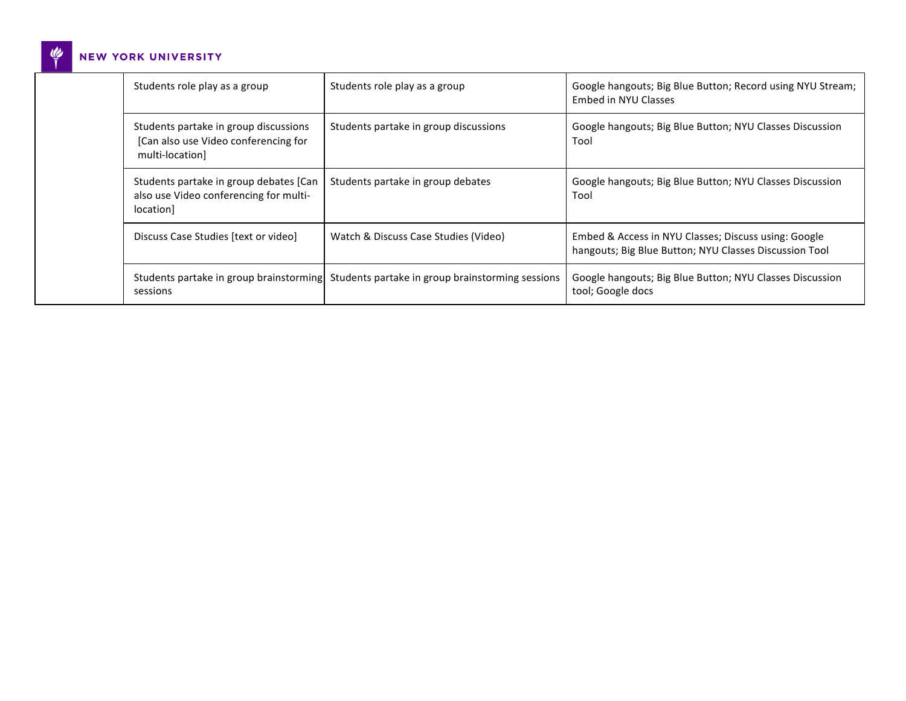## $\frac{d^2y}{dt^2}$ NEW YORK UNIVERSITY

|  | Students role play as a group                                                                    | Students role play as a group                                                            | Google hangouts; Big Blue Button; Record using NYU Stream;<br>Embed in NYU Classes                             |
|--|--------------------------------------------------------------------------------------------------|------------------------------------------------------------------------------------------|----------------------------------------------------------------------------------------------------------------|
|  | Students partake in group discussions<br>[Can also use Video conferencing for<br>multi-location] | Students partake in group discussions                                                    | Google hangouts; Big Blue Button; NYU Classes Discussion<br>Tool                                               |
|  | Students partake in group debates [Can]<br>also use Video conferencing for multi-<br>location]   | Students partake in group debates                                                        | Google hangouts; Big Blue Button; NYU Classes Discussion<br>Tool                                               |
|  | Discuss Case Studies [text or video]                                                             | Watch & Discuss Case Studies (Video)                                                     | Embed & Access in NYU Classes; Discuss using: Google<br>hangouts; Big Blue Button; NYU Classes Discussion Tool |
|  | sessions                                                                                         | Students partake in group brainstorming Students partake in group brainstorming sessions | Google hangouts; Big Blue Button; NYU Classes Discussion<br>tool; Google docs                                  |